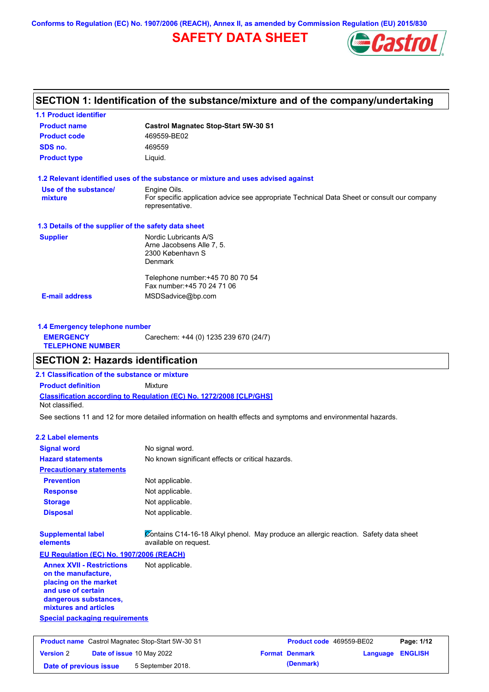**Conforms to Regulation (EC) No. 1907/2006 (REACH), Annex II, as amended by Commission Regulation (EU) 2015/830**

## **SAFETY DATA SHEET**



## **SECTION 1: Identification of the substance/mixture and of the company/undertaking**

| <b>1.1 Product identifier</b>                        |                                                                                                                |  |  |  |  |
|------------------------------------------------------|----------------------------------------------------------------------------------------------------------------|--|--|--|--|
| <b>Product name</b>                                  | <b>Castrol Magnatec Stop-Start 5W-30 S1</b>                                                                    |  |  |  |  |
| <b>Product code</b>                                  | 469559-BE02                                                                                                    |  |  |  |  |
| SDS no.                                              | 469559                                                                                                         |  |  |  |  |
| <b>Product type</b>                                  | Liquid.                                                                                                        |  |  |  |  |
|                                                      | 1.2 Relevant identified uses of the substance or mixture and uses advised against                              |  |  |  |  |
| Use of the substance/                                | Engine Oils.                                                                                                   |  |  |  |  |
| mixture                                              | For specific application advice see appropriate Technical Data Sheet or consult our company<br>representative. |  |  |  |  |
| 1.3 Details of the supplier of the safety data sheet |                                                                                                                |  |  |  |  |
| <b>Supplier</b>                                      | Nordic Lubricants A/S                                                                                          |  |  |  |  |
|                                                      | Arne Jacobsens Alle 7, 5.                                                                                      |  |  |  |  |
|                                                      | 2300 København S                                                                                               |  |  |  |  |
|                                                      | <b>Denmark</b>                                                                                                 |  |  |  |  |
|                                                      | Telephone number: +45 70 80 70 54                                                                              |  |  |  |  |
|                                                      |                                                                                                                |  |  |  |  |
|                                                      | Fax number: +45 70 24 71 06                                                                                    |  |  |  |  |

| 1.4 Emergency telephone number              |                                       |  |  |
|---------------------------------------------|---------------------------------------|--|--|
| <b>EMERGENCY</b><br><b>TELEPHONE NUMBER</b> | Carechem: +44 (0) 1235 239 670 (24/7) |  |  |

## **SECTION 2: Hazards identification**

**2.1 Classification of the substance or mixture**

**Classification according to Regulation (EC) No. 1272/2008 [CLP/GHS] Product definition** Mixture Not classified.

See sections 11 and 12 for more detailed information on health effects and symptoms and environmental hazards.

#### **2.2 Label elements**

| <b>Signal word</b>                                                                                                                                       | No signal word.                                                                                               |                       |                          |          |                |
|----------------------------------------------------------------------------------------------------------------------------------------------------------|---------------------------------------------------------------------------------------------------------------|-----------------------|--------------------------|----------|----------------|
| <b>Hazard statements</b>                                                                                                                                 | No known significant effects or critical hazards.                                                             |                       |                          |          |                |
| <b>Precautionary statements</b>                                                                                                                          |                                                                                                               |                       |                          |          |                |
| <b>Prevention</b>                                                                                                                                        | Not applicable.                                                                                               |                       |                          |          |                |
| <b>Response</b>                                                                                                                                          | Not applicable.                                                                                               |                       |                          |          |                |
| <b>Storage</b>                                                                                                                                           | Not applicable.                                                                                               |                       |                          |          |                |
| <b>Disposal</b>                                                                                                                                          | Not applicable.                                                                                               |                       |                          |          |                |
| <b>Supplemental label</b><br>elements                                                                                                                    | Contains C14-16-18 Alkyl phenol. May produce an allergic reaction. Safety data sheet<br>available on request. |                       |                          |          |                |
| <b>EU Regulation (EC) No. 1907/2006 (REACH)</b>                                                                                                          |                                                                                                               |                       |                          |          |                |
| <b>Annex XVII - Restrictions</b><br>on the manufacture.<br>placing on the market<br>and use of certain<br>dangerous substances,<br>mixtures and articles | Not applicable.                                                                                               |                       |                          |          |                |
| <b>Special packaging requirements</b>                                                                                                                    |                                                                                                               |                       |                          |          |                |
|                                                                                                                                                          |                                                                                                               |                       |                          |          |                |
| <b>Product name</b> Castrol Magnatec Stop-Start 5W-30 S1                                                                                                 |                                                                                                               |                       | Product code 469559-BE02 |          | Page: 1/12     |
| <b>Version 2</b><br>Date of issue 10 May 2022                                                                                                            |                                                                                                               | <b>Format Denmark</b> |                          | Language | <b>ENGLISH</b> |

**Date of previous issue** 5 September 2018. **(Denmark)** (Denmark)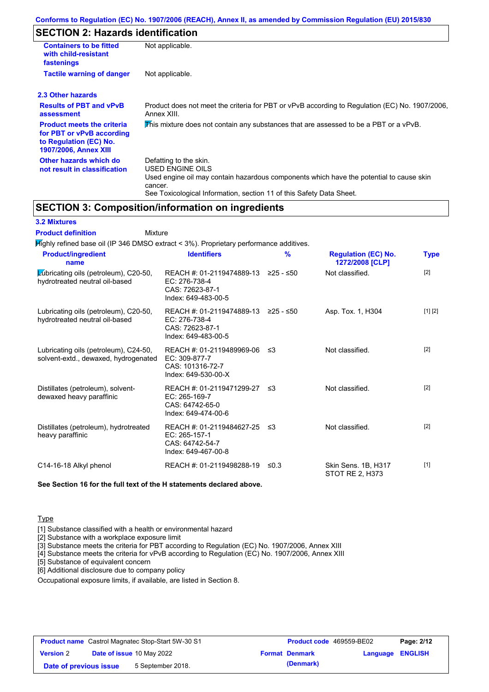## **SECTION 2: Hazards identification**

| <b>Containers to be fitted</b><br>with child-resistant<br>fastenings                                                     | Not applicable.                                                                                                                                                                                                          |  |  |  |
|--------------------------------------------------------------------------------------------------------------------------|--------------------------------------------------------------------------------------------------------------------------------------------------------------------------------------------------------------------------|--|--|--|
| <b>Tactile warning of danger</b>                                                                                         | Not applicable.                                                                                                                                                                                                          |  |  |  |
| 2.3 Other hazards                                                                                                        |                                                                                                                                                                                                                          |  |  |  |
| <b>Results of PBT and vPvB</b><br>assessment                                                                             | Product does not meet the criteria for PBT or vPvB according to Regulation (EC) No. 1907/2006,<br>Annex XIII.                                                                                                            |  |  |  |
| <b>Product meets the criteria</b><br>for PBT or vPvB according<br>to Regulation (EC) No.<br><b>1907/2006, Annex XIII</b> | This mixture does not contain any substances that are assessed to be a PBT or a vPvB.                                                                                                                                    |  |  |  |
| Other hazards which do<br>not result in classification                                                                   | Defatting to the skin.<br>USED ENGINE OILS<br>Used engine oil may contain hazardous components which have the potential to cause skin<br>cancer.<br>See Toxicological Information, section 11 of this Safety Data Sheet. |  |  |  |

## **SECTION 3: Composition/information on ingredients**

## **3.2 Mixtures**

Mixture **Product definition**

| <b>Product/ingredient</b><br>name                                             | <b>Identifiers</b>                                                                    | $\frac{9}{6}$ | <b>Regulation (EC) No.</b><br>1272/2008 [CLP] | <b>Type</b> |
|-------------------------------------------------------------------------------|---------------------------------------------------------------------------------------|---------------|-----------------------------------------------|-------------|
| Lubricating oils (petroleum), C20-50,<br>hydrotreated neutral oil-based       | REACH #: 01-2119474889-13<br>EC: 276-738-4<br>CAS: 72623-87-1<br>Index: 649-483-00-5  | ≥25 - ≤50     | Not classified.                               | $[2]$       |
| Lubricating oils (petroleum), C20-50,<br>hydrotreated neutral oil-based       | REACH #: 01-2119474889-13<br>EC: 276-738-4<br>CAS: 72623-87-1<br>Index: 649-483-00-5  | 225 - ≤50     | Asp. Tox. 1, H304                             | [1] [2]     |
| Lubricating oils (petroleum), C24-50,<br>solvent-extd., dewaxed, hydrogenated | REACH #: 01-2119489969-06<br>EC: 309-877-7<br>CAS: 101316-72-7<br>Index: 649-530-00-X | -≤3           | Not classified.                               | $[2]$       |
| Distillates (petroleum), solvent-<br>dewaxed heavy paraffinic                 | REACH #: 01-2119471299-27<br>EC: 265-169-7<br>CAS: 64742-65-0<br>Index: 649-474-00-6  | -≤3           | Not classified.                               | $[2]$       |
| Distillates (petroleum), hydrotreated<br>heavy paraffinic                     | REACH #: 01-2119484627-25<br>EC: 265-157-1<br>CAS: 64742-54-7<br>Index: 649-467-00-8  | -≤3           | Not classified.                               | $[2]$       |
| C14-16-18 Alkyl phenol                                                        | REACH #: 01-2119498288-19                                                             | ≤0.3          | Skin Sens. 1B, H317<br>STOT RE 2, H373        | $[1]$       |

**See Section 16 for the full text of the H statements declared above.**

### **Type**

[1] Substance classified with a health or environmental hazard

[2] Substance with a workplace exposure limit

[3] Substance meets the criteria for PBT according to Regulation (EC) No. 1907/2006, Annex XIII

[4] Substance meets the criteria for vPvB according to Regulation (EC) No. 1907/2006, Annex XIII

[5] Substance of equivalent concern

[6] Additional disclosure due to company policy

Occupational exposure limits, if available, are listed in Section 8.

| <b>Product name</b> Castrol Magnatec Stop-Start 5W-30 S1 |  |                                  | Product code 469559-BE02 |                       | Page: 2/12              |  |
|----------------------------------------------------------|--|----------------------------------|--------------------------|-----------------------|-------------------------|--|
| <b>Version 2</b>                                         |  | <b>Date of issue 10 May 2022</b> |                          | <b>Format Denmark</b> | <b>Language ENGLISH</b> |  |
| Date of previous issue                                   |  | 5 September 2018.                |                          | (Denmark)             |                         |  |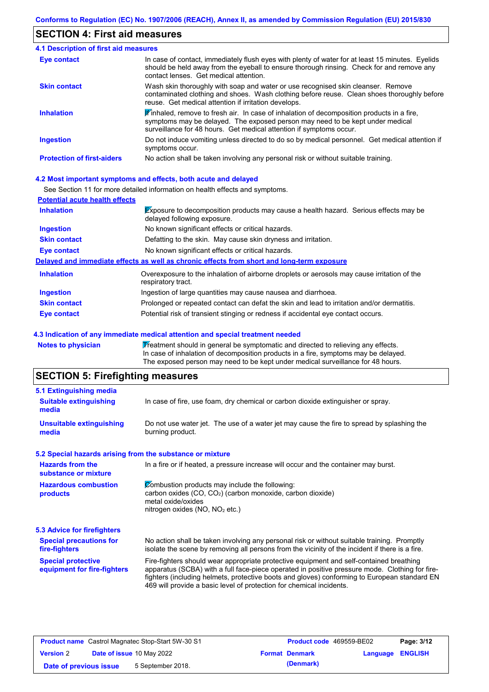## **SECTION 4: First aid measures**

| 4.1 Description of first aid measures |                                                                                                                                                                                                                                                                         |  |
|---------------------------------------|-------------------------------------------------------------------------------------------------------------------------------------------------------------------------------------------------------------------------------------------------------------------------|--|
| <b>Eye contact</b>                    | In case of contact, immediately flush eyes with plenty of water for at least 15 minutes. Eyelids<br>should be held away from the eyeball to ensure thorough rinsing. Check for and remove any<br>contact lenses. Get medical attention.                                 |  |
| <b>Skin contact</b>                   | Wash skin thoroughly with soap and water or use recognised skin cleanser. Remove<br>contaminated clothing and shoes. Wash clothing before reuse. Clean shoes thoroughly before<br>reuse. Get medical attention if irritation develops.                                  |  |
| <b>Inhalation</b>                     | $\mathbf{\mathscr{F}}$ inhaled, remove to fresh air. In case of inhalation of decomposition products in a fire,<br>symptoms may be delayed. The exposed person may need to be kept under medical<br>surveillance for 48 hours. Get medical attention if symptoms occur. |  |
| <b>Ingestion</b>                      | Do not induce vomiting unless directed to do so by medical personnel. Get medical attention if<br>symptoms occur.                                                                                                                                                       |  |
| <b>Protection of first-aiders</b>     | No action shall be taken involving any personal risk or without suitable training.                                                                                                                                                                                      |  |

### **4.2 Most important symptoms and effects, both acute and delayed**

See Section 11 for more detailed information on health effects and symptoms.

| <b>Potential acute health effects</b> |                                                                                                                            |  |  |
|---------------------------------------|----------------------------------------------------------------------------------------------------------------------------|--|--|
| <b>Inhalation</b>                     | <b>Exposure to decomposition products may cause a health hazard. Serious effects may be</b><br>delayed following exposure. |  |  |
| <b>Ingestion</b>                      | No known significant effects or critical hazards.                                                                          |  |  |
| <b>Skin contact</b>                   | Defatting to the skin. May cause skin dryness and irritation.                                                              |  |  |
| Eye contact                           | No known significant effects or critical hazards.                                                                          |  |  |
|                                       | Delayed and immediate effects as well as chronic effects from short and long-term exposure                                 |  |  |
| <b>Inhalation</b>                     | Overexposure to the inhalation of airborne droplets or aerosols may cause irritation of the<br>respiratory tract.          |  |  |
| <b>Ingestion</b>                      | Ingestion of large quantities may cause nausea and diarrhoea.                                                              |  |  |
| <b>Skin contact</b>                   | Prolonged or repeated contact can defat the skin and lead to irritation and/or dermatitis.                                 |  |  |
| Eye contact                           | Potential risk of transient stinging or redness if accidental eye contact occurs.                                          |  |  |

#### **4.3 Indication of any immediate medical attention and special treatment needed**

Notes to physician **Treatment should in general be symptomatic and directed to relieving any effects.** In case of inhalation of decomposition products in a fire, symptoms may be delayed. The exposed person may need to be kept under medical surveillance for 48 hours.

## **SECTION 5: Firefighting measures**

| 5.1 Extinguishing media                                   |                                                                                                                                                                                                                                                                                                                                                                   |  |  |
|-----------------------------------------------------------|-------------------------------------------------------------------------------------------------------------------------------------------------------------------------------------------------------------------------------------------------------------------------------------------------------------------------------------------------------------------|--|--|
| <b>Suitable extinguishing</b><br>media                    | In case of fire, use foam, dry chemical or carbon dioxide extinguisher or spray.                                                                                                                                                                                                                                                                                  |  |  |
| <b>Unsuitable extinguishing</b><br>media                  | Do not use water jet. The use of a water jet may cause the fire to spread by splashing the<br>burning product.                                                                                                                                                                                                                                                    |  |  |
| 5.2 Special hazards arising from the substance or mixture |                                                                                                                                                                                                                                                                                                                                                                   |  |  |
| <b>Hazards from the</b><br>substance or mixture           | In a fire or if heated, a pressure increase will occur and the container may burst.                                                                                                                                                                                                                                                                               |  |  |
| <b>Hazardous combustion</b><br>products                   | Combustion products may include the following:<br>carbon oxides (CO, CO <sub>2</sub> ) (carbon monoxide, carbon dioxide)<br>metal oxide/oxides<br>nitrogen oxides (NO, NO <sub>2</sub> etc.)                                                                                                                                                                      |  |  |
| 5.3 Advice for firefighters                               |                                                                                                                                                                                                                                                                                                                                                                   |  |  |
| <b>Special precautions for</b><br>fire-fighters           | No action shall be taken involving any personal risk or without suitable training. Promptly<br>isolate the scene by removing all persons from the vicinity of the incident if there is a fire.                                                                                                                                                                    |  |  |
| <b>Special protective</b><br>equipment for fire-fighters  | Fire-fighters should wear appropriate protective equipment and self-contained breathing<br>apparatus (SCBA) with a full face-piece operated in positive pressure mode. Clothing for fire-<br>fighters (including helmets, protective boots and gloves) conforming to European standard EN<br>469 will provide a basic level of protection for chemical incidents. |  |  |

| <b>Product name</b> Castrol Magnatec Stop-Start 5W-30 S1 |  | <b>Product code</b> 469559-BE02  |  | Page: 3/12            |                  |  |
|----------------------------------------------------------|--|----------------------------------|--|-----------------------|------------------|--|
| <b>Version 2</b>                                         |  | <b>Date of issue 10 May 2022</b> |  | <b>Format Denmark</b> | Language ENGLISH |  |
| Date of previous issue                                   |  | 5 September 2018.                |  | (Denmark)             |                  |  |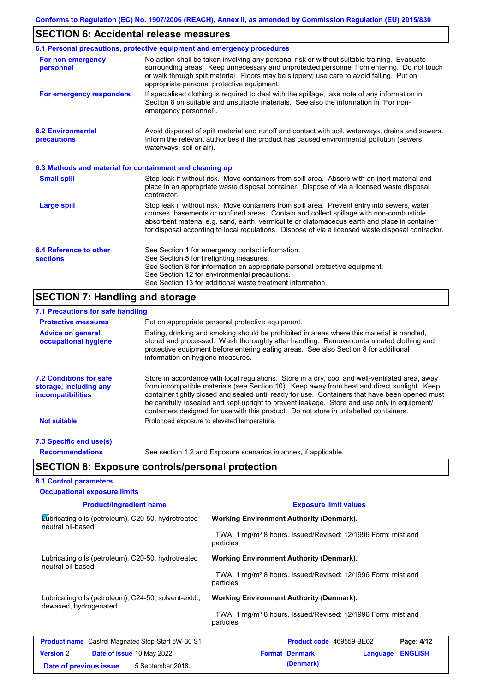## **SECTION 6: Accidental release measures**

|                                                          | 6.1 Personal precautions, protective equipment and emergency procedures                                                                                                                                                                                                                                                                                                                        |  |  |  |
|----------------------------------------------------------|------------------------------------------------------------------------------------------------------------------------------------------------------------------------------------------------------------------------------------------------------------------------------------------------------------------------------------------------------------------------------------------------|--|--|--|
| For non-emergency<br>personnel                           | No action shall be taken involving any personal risk or without suitable training. Evacuate<br>surrounding areas. Keep unnecessary and unprotected personnel from entering. Do not touch<br>or walk through spilt material. Floors may be slippery; use care to avoid falling. Put on<br>appropriate personal protective equipment.                                                            |  |  |  |
| For emergency responders                                 | If specialised clothing is required to deal with the spillage, take note of any information in<br>Section 8 on suitable and unsuitable materials. See also the information in "For non-<br>emergency personnel".                                                                                                                                                                               |  |  |  |
| <b>6.2 Environmental</b><br>precautions                  | Avoid dispersal of spilt material and runoff and contact with soil, waterways, drains and sewers.<br>Inform the relevant authorities if the product has caused environmental pollution (sewers,<br>waterways, soil or air).                                                                                                                                                                    |  |  |  |
| 6.3 Methods and material for containment and cleaning up |                                                                                                                                                                                                                                                                                                                                                                                                |  |  |  |
| <b>Small spill</b>                                       | Stop leak if without risk. Move containers from spill area. Absorb with an inert material and<br>place in an appropriate waste disposal container. Dispose of via a licensed waste disposal<br>contractor.                                                                                                                                                                                     |  |  |  |
| <b>Large spill</b>                                       | Stop leak if without risk. Move containers from spill area. Prevent entry into sewers, water<br>courses, basements or confined areas. Contain and collect spillage with non-combustible,<br>absorbent material e.g. sand, earth, vermiculite or diatomaceous earth and place in container<br>for disposal according to local regulations. Dispose of via a licensed waste disposal contractor. |  |  |  |
| 6.4 Reference to other<br><b>sections</b>                | See Section 1 for emergency contact information.<br>See Section 5 for firefighting measures.<br>See Section 8 for information on appropriate personal protective equipment.<br>See Section 12 for environmental precautions.<br>See Section 13 for additional waste treatment information.                                                                                                     |  |  |  |

# **SECTION 7: Handling and storage**

| 7.1 Precautions for safe handling                                                    |                                                                                                                                                                                                                                                                                                                                                                                                                                                                                          |  |  |
|--------------------------------------------------------------------------------------|------------------------------------------------------------------------------------------------------------------------------------------------------------------------------------------------------------------------------------------------------------------------------------------------------------------------------------------------------------------------------------------------------------------------------------------------------------------------------------------|--|--|
| <b>Protective measures</b>                                                           | Put on appropriate personal protective equipment.                                                                                                                                                                                                                                                                                                                                                                                                                                        |  |  |
| <b>Advice on general</b><br>occupational hygiene                                     | Eating, drinking and smoking should be prohibited in areas where this material is handled,<br>stored and processed. Wash thoroughly after handling. Remove contaminated clothing and<br>protective equipment before entering eating areas. See also Section 8 for additional<br>information on hygiene measures.                                                                                                                                                                         |  |  |
| <b>7.2 Conditions for safe</b><br>storage, including any<br><i>incompatibilities</i> | Store in accordance with local regulations. Store in a dry, cool and well-ventilated area, away<br>from incompatible materials (see Section 10). Keep away from heat and direct sunlight. Keep<br>container tightly closed and sealed until ready for use. Containers that have been opened must<br>be carefully resealed and kept upright to prevent leakage. Store and use only in equipment/<br>containers designed for use with this product. Do not store in unlabelled containers. |  |  |
| <b>Not suitable</b>                                                                  | Prolonged exposure to elevated temperature.                                                                                                                                                                                                                                                                                                                                                                                                                                              |  |  |
| 7.3 Specific end use(s)                                                              |                                                                                                                                                                                                                                                                                                                                                                                                                                                                                          |  |  |
| <b>Recommendations</b>                                                               | See section 1.2 and Exposure scenarios in annex, if applicable.                                                                                                                                                                                                                                                                                                                                                                                                                          |  |  |
|                                                                                      | <b>SECTION 8: Exposure controls/personal protection</b>                                                                                                                                                                                                                                                                                                                                                                                                                                  |  |  |

## **8.1 Control parameters Occupational exposure limits**

| <b>Product/ingredient name</b>                                                | <b>Exposure limit values</b>                                                          |
|-------------------------------------------------------------------------------|---------------------------------------------------------------------------------------|
| Lubricating oils (petroleum), C20-50, hydrotreated<br>neutral oil-based       | <b>Working Environment Authority (Denmark).</b>                                       |
|                                                                               | TWA: 1 mg/m <sup>3</sup> 8 hours. Issued/Revised: 12/1996 Form: mist and<br>particles |
| Lubricating oils (petroleum), C20-50, hydrotreated<br>neutral oil-based       | <b>Working Environment Authority (Denmark).</b>                                       |
|                                                                               | TWA: 1 mg/m <sup>3</sup> 8 hours. Issued/Revised: 12/1996 Form: mist and<br>particles |
| Lubricating oils (petroleum), C24-50, solvent-extd.,<br>dewaxed, hydrogenated | <b>Working Environment Authority (Denmark).</b>                                       |
|                                                                               | TWA: 1 mg/m <sup>3</sup> 8 hours. Issued/Revised: 12/1996 Form: mist and<br>particles |
| <b>Product name</b> Castrol Magnatec Stop-Start 5W-30 S1                      | Product code 469559-BE02<br>Page: 4/12                                                |
| <b>Version 2</b><br><b>Date of issue 10 May 2022</b>                          | <b>ENGLISH</b><br><b>Format Denmark</b><br>Language                                   |
| 5 September 2018.<br>Date of previous issue                                   | (Denmark)                                                                             |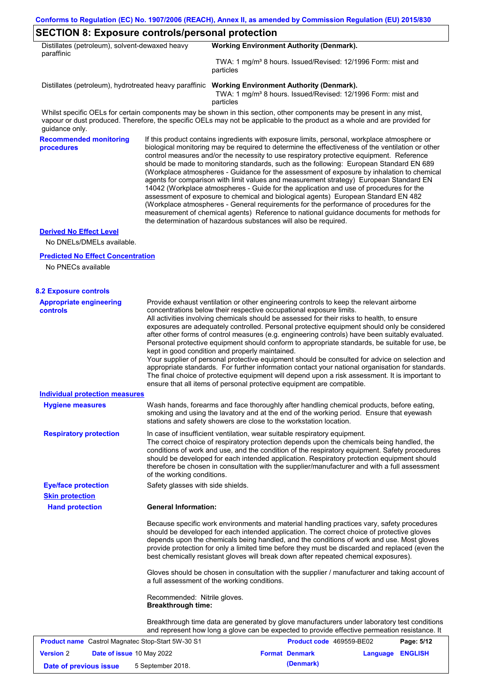| Distillates (petroleum), solvent-dewaxed heavy<br>paraffinic |                                   | <b>Working Environment Authority (Denmark).</b>                                                                                                                                                                                                                                                                                                                                                                                                                                                                                                                                                                                                                                                                                                                                                                                                                                                                                                                                                                            |
|--------------------------------------------------------------|-----------------------------------|----------------------------------------------------------------------------------------------------------------------------------------------------------------------------------------------------------------------------------------------------------------------------------------------------------------------------------------------------------------------------------------------------------------------------------------------------------------------------------------------------------------------------------------------------------------------------------------------------------------------------------------------------------------------------------------------------------------------------------------------------------------------------------------------------------------------------------------------------------------------------------------------------------------------------------------------------------------------------------------------------------------------------|
|                                                              |                                   | TWA: 1 mg/m <sup>3</sup> 8 hours. Issued/Revised: 12/1996 Form: mist and<br>particles                                                                                                                                                                                                                                                                                                                                                                                                                                                                                                                                                                                                                                                                                                                                                                                                                                                                                                                                      |
|                                                              |                                   | Distillates (petroleum), hydrotreated heavy paraffinic Working Environment Authority (Denmark).<br>TWA: 1 mg/m <sup>3</sup> 8 hours. Issued/Revised: 12/1996 Form: mist and<br>particles                                                                                                                                                                                                                                                                                                                                                                                                                                                                                                                                                                                                                                                                                                                                                                                                                                   |
| guidance only.                                               |                                   | Whilst specific OELs for certain components may be shown in this section, other components may be present in any mist,<br>vapour or dust produced. Therefore, the specific OELs may not be applicable to the product as a whole and are provided for                                                                                                                                                                                                                                                                                                                                                                                                                                                                                                                                                                                                                                                                                                                                                                       |
| <b>Recommended monitoring</b><br>procedures                  |                                   | If this product contains ingredients with exposure limits, personal, workplace atmosphere or<br>biological monitoring may be required to determine the effectiveness of the ventilation or other<br>control measures and/or the necessity to use respiratory protective equipment. Reference<br>should be made to monitoring standards, such as the following: European Standard EN 689<br>(Workplace atmospheres - Guidance for the assessment of exposure by inhalation to chemical<br>agents for comparison with limit values and measurement strategy) European Standard EN<br>14042 (Workplace atmospheres - Guide for the application and use of procedures for the<br>assessment of exposure to chemical and biological agents) European Standard EN 482<br>(Workplace atmospheres - General requirements for the performance of procedures for the<br>measurement of chemical agents) Reference to national guidance documents for methods for<br>the determination of hazardous substances will also be required. |
| <b>Derived No Effect Level</b><br>No DNELs/DMELs available.  |                                   |                                                                                                                                                                                                                                                                                                                                                                                                                                                                                                                                                                                                                                                                                                                                                                                                                                                                                                                                                                                                                            |
| <b>Predicted No Effect Concentration</b>                     |                                   |                                                                                                                                                                                                                                                                                                                                                                                                                                                                                                                                                                                                                                                                                                                                                                                                                                                                                                                                                                                                                            |
| No PNECs available                                           |                                   |                                                                                                                                                                                                                                                                                                                                                                                                                                                                                                                                                                                                                                                                                                                                                                                                                                                                                                                                                                                                                            |
| <b>8.2 Exposure controls</b>                                 |                                   |                                                                                                                                                                                                                                                                                                                                                                                                                                                                                                                                                                                                                                                                                                                                                                                                                                                                                                                                                                                                                            |
| <b>Appropriate engineering</b><br><b>controls</b>            |                                   | Provide exhaust ventilation or other engineering controls to keep the relevant airborne<br>concentrations below their respective occupational exposure limits.<br>All activities involving chemicals should be assessed for their risks to health, to ensure<br>exposures are adequately controlled. Personal protective equipment should only be considered<br>after other forms of control measures (e.g. engineering controls) have been suitably evaluated.<br>Personal protective equipment should conform to appropriate standards, be suitable for use, be<br>kept in good condition and properly maintained.<br>Your supplier of personal protective equipment should be consulted for advice on selection and<br>appropriate standards. For further information contact your national organisation for standards.<br>The final choice of protective equipment will depend upon a risk assessment. It is important to<br>ensure that all items of personal protective equipment are compatible.                    |
| Individual protection measures                               |                                   |                                                                                                                                                                                                                                                                                                                                                                                                                                                                                                                                                                                                                                                                                                                                                                                                                                                                                                                                                                                                                            |
| <b>Hygiene measures</b>                                      |                                   | Wash hands, forearms and face thoroughly after handling chemical products, before eating,<br>smoking and using the lavatory and at the end of the working period. Ensure that eyewash<br>stations and safety showers are close to the workstation location.                                                                                                                                                                                                                                                                                                                                                                                                                                                                                                                                                                                                                                                                                                                                                                |
| <b>Respiratory protection</b>                                | of the working conditions.        | In case of insufficient ventilation, wear suitable respiratory equipment.<br>The correct choice of respiratory protection depends upon the chemicals being handled, the<br>conditions of work and use, and the condition of the respiratory equipment. Safety procedures<br>should be developed for each intended application. Respiratory protection equipment should<br>therefore be chosen in consultation with the supplier/manufacturer and with a full assessment                                                                                                                                                                                                                                                                                                                                                                                                                                                                                                                                                    |
| <b>Eye/face protection</b>                                   | Safety glasses with side shields. |                                                                                                                                                                                                                                                                                                                                                                                                                                                                                                                                                                                                                                                                                                                                                                                                                                                                                                                                                                                                                            |
| <b>Skin protection</b><br><b>Hand protection</b>             | <b>General Information:</b>       |                                                                                                                                                                                                                                                                                                                                                                                                                                                                                                                                                                                                                                                                                                                                                                                                                                                                                                                                                                                                                            |
|                                                              |                                   | Because specific work environments and material handling practices vary, safety procedures<br>should be developed for each intended application. The correct choice of protective gloves<br>depends upon the chemicals being handled, and the conditions of work and use. Most gloves<br>provide protection for only a limited time before they must be discarded and replaced (even the<br>best chemically resistant gloves will break down after repeated chemical exposures).                                                                                                                                                                                                                                                                                                                                                                                                                                                                                                                                           |

Gloves should be chosen in consultation with the supplier / manufacturer and taking account of a full assessment of the working conditions.

Recommended: Nitrile gloves. **Breakthrough time:**

Breakthrough time data are generated by glove manufacturers under laboratory test conditions and represent how long a glove can be expected to provide effective permeation resistance. It

|                        | <b>Product name</b> Castrol Magnatec Stop-Start 5W-30 S1 | <b>Product code</b> 469559-BE02 |                         | Page: 5/12 |
|------------------------|----------------------------------------------------------|---------------------------------|-------------------------|------------|
| <b>Version 2</b>       | <b>Date of issue 10 May 2022</b>                         | <b>Format Denmark</b>           | <b>Language ENGLISH</b> |            |
| Date of previous issue | 5 September 2018.                                        | (Denmark)                       |                         |            |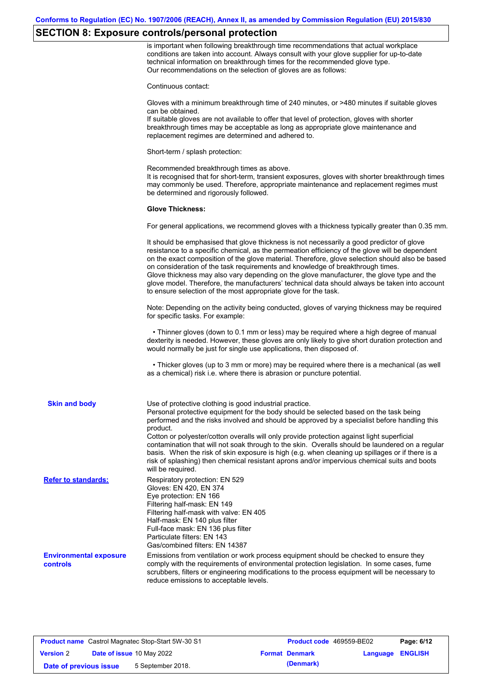## **SECTION 8: Exposure controls/personal protection**

is important when following breakthrough time recommendations that actual workplace conditions are taken into account. Always consult with your glove supplier for up-to-date technical information on breakthrough times for the recommended glove type. Our recommendations on the selection of gloves are as follows:

Continuous contact:

Gloves with a minimum breakthrough time of 240 minutes, or >480 minutes if suitable gloves can be obtained.

If suitable gloves are not available to offer that level of protection, gloves with shorter breakthrough times may be acceptable as long as appropriate glove maintenance and replacement regimes are determined and adhered to.

Short-term / splash protection:

Recommended breakthrough times as above. It is recognised that for short-term, transient exposures, gloves with shorter breakthrough times may commonly be used. Therefore, appropriate maintenance and replacement regimes must be determined and rigorously followed.

#### **Glove Thickness:**

For general applications, we recommend gloves with a thickness typically greater than 0.35 mm.

|                                           | It should be emphasised that glove thickness is not necessarily a good predictor of glove<br>resistance to a specific chemical, as the permeation efficiency of the glove will be dependent<br>on the exact composition of the glove material. Therefore, glove selection should also be based<br>on consideration of the task requirements and knowledge of breakthrough times.<br>Glove thickness may also vary depending on the glove manufacturer, the glove type and the<br>glove model. Therefore, the manufacturers' technical data should always be taken into account<br>to ensure selection of the most appropriate glove for the task.                                     |
|-------------------------------------------|---------------------------------------------------------------------------------------------------------------------------------------------------------------------------------------------------------------------------------------------------------------------------------------------------------------------------------------------------------------------------------------------------------------------------------------------------------------------------------------------------------------------------------------------------------------------------------------------------------------------------------------------------------------------------------------|
|                                           | Note: Depending on the activity being conducted, gloves of varying thickness may be required<br>for specific tasks. For example:                                                                                                                                                                                                                                                                                                                                                                                                                                                                                                                                                      |
|                                           | • Thinner gloves (down to 0.1 mm or less) may be required where a high degree of manual<br>dexterity is needed. However, these gloves are only likely to give short duration protection and<br>would normally be just for single use applications, then disposed of.                                                                                                                                                                                                                                                                                                                                                                                                                  |
|                                           | • Thicker gloves (up to 3 mm or more) may be required where there is a mechanical (as well<br>as a chemical) risk i.e. where there is abrasion or puncture potential.                                                                                                                                                                                                                                                                                                                                                                                                                                                                                                                 |
| <b>Skin and body</b>                      | Use of protective clothing is good industrial practice.<br>Personal protective equipment for the body should be selected based on the task being<br>performed and the risks involved and should be approved by a specialist before handling this<br>product.<br>Cotton or polyester/cotton overalls will only provide protection against light superficial<br>contamination that will not soak through to the skin. Overalls should be laundered on a regular<br>basis. When the risk of skin exposure is high (e.g. when cleaning up spillages or if there is a<br>risk of splashing) then chemical resistant aprons and/or impervious chemical suits and boots<br>will be required. |
| <b>Refer to standards:</b>                | Respiratory protection: EN 529<br>Gloves: EN 420, EN 374<br>Eye protection: EN 166<br>Filtering half-mask: EN 149<br>Filtering half-mask with valve: EN 405<br>Half-mask: EN 140 plus filter<br>Full-face mask: EN 136 plus filter<br>Particulate filters: EN 143<br>Gas/combined filters: EN 14387                                                                                                                                                                                                                                                                                                                                                                                   |
| <b>Environmental exposure</b><br>controls | Emissions from ventilation or work process equipment should be checked to ensure they<br>comply with the requirements of environmental protection legislation. In some cases, fume<br>scrubbers, filters or engineering modifications to the process equipment will be necessary to<br>reduce emissions to acceptable levels.                                                                                                                                                                                                                                                                                                                                                         |

|                        | <b>Product name</b> Castrol Magnatec Stop-Start 5W-30 S1 | <b>Product code</b> 469559-BE02 |                         | Page: 6/12 |
|------------------------|----------------------------------------------------------|---------------------------------|-------------------------|------------|
| <b>Version 2</b>       | <b>Date of issue 10 May 2022</b>                         | <b>Format Denmark</b>           | <b>Language ENGLISH</b> |            |
| Date of previous issue | 5 September 2018.                                        | (Denmark)                       |                         |            |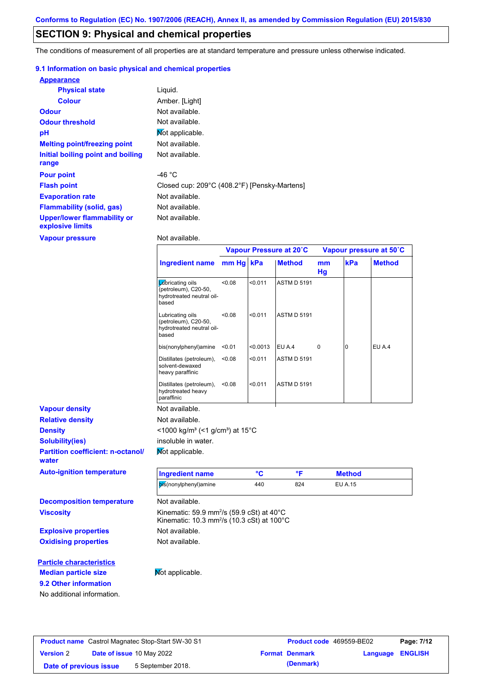## **SECTION 9: Physical and chemical properties**

The conditions of measurement of all properties are at standard temperature and pressure unless otherwise indicated.

### **9.1 Information on basic physical and chemical properties**

| <b>Appearance</b>                               |                                              |
|-------------------------------------------------|----------------------------------------------|
| <b>Physical state</b>                           | Liquid.                                      |
| <b>Colour</b>                                   | Amber. [Light]                               |
| <b>Odour</b>                                    | Not available.                               |
| <b>Odour threshold</b>                          | Not available.                               |
| pH                                              | Mot applicable.                              |
| <b>Melting point/freezing point</b>             | Not available.                               |
| Initial boiling point and boiling<br>range      | Not available.                               |
| <b>Pour point</b>                               | -46 °C                                       |
| <b>Flash point</b>                              | Closed cup: 209°C (408.2°F) [Pensky-Martens] |
| <b>Evaporation rate</b>                         | Not available.                               |
| <b>Flammability (solid, gas)</b>                | Not available.                               |
| Upper/lower flammability or<br>explosive limits | Not available.                               |

**Vapour pressure**

**9.2 Other information**

No additional information.

Not available.

|                                                   |                                                                                                                            | Vapour Pressure at 20°C |          |                    | Vapour pressure at 50°C |                |               |
|---------------------------------------------------|----------------------------------------------------------------------------------------------------------------------------|-------------------------|----------|--------------------|-------------------------|----------------|---------------|
|                                                   | <b>Ingredient name</b>                                                                                                     | mm Hg kPa               |          | <b>Method</b>      | mm<br>Hg                | kPa            | <b>Method</b> |
|                                                   | <b>L</b> úbricating oils<br>(petroleum), C20-50,<br>hydrotreated neutral oil-<br>based                                     | < 0.08                  | < 0.011  | <b>ASTM D 5191</b> |                         |                |               |
|                                                   | Lubricating oils<br>(petroleum), C20-50,<br>hydrotreated neutral oil-<br>based                                             | < 0.08                  | < 0.011  | <b>ASTM D 5191</b> |                         |                |               |
|                                                   | bis(nonylphenyl)amine                                                                                                      | < 0.01                  | < 0.0013 | EU A.4             | 0                       | 0              | EU A.4        |
|                                                   | Distillates (petroleum),<br>solvent-dewaxed<br>heavy paraffinic                                                            | < 0.08                  | < 0.011  | <b>ASTM D 5191</b> |                         |                |               |
|                                                   | Distillates (petroleum),<br>hydrotreated heavy<br>paraffinic                                                               | < 0.08                  | < 0.011  | <b>ASTM D 5191</b> |                         |                |               |
| <b>Vapour density</b>                             | Not available.                                                                                                             |                         |          |                    |                         |                |               |
| <b>Relative density</b>                           | Not available.                                                                                                             |                         |          |                    |                         |                |               |
| <b>Density</b>                                    | <1000 kg/m <sup>3</sup> (<1 g/cm <sup>3</sup> ) at 15 <sup>°</sup> C                                                       |                         |          |                    |                         |                |               |
| <b>Solubility(ies)</b>                            | insoluble in water.                                                                                                        |                         |          |                    |                         |                |               |
| <b>Partition coefficient: n-octanol/</b><br>water | Not applicable.                                                                                                            |                         |          |                    |                         |                |               |
| <b>Auto-ignition temperature</b>                  | <b>Ingredient name</b>                                                                                                     |                         | °C       | °F                 |                         | <b>Method</b>  |               |
|                                                   | bis(nonylphenyl)amine                                                                                                      |                         | 440      | 824                |                         | <b>EU A.15</b> |               |
| <b>Decomposition temperature</b>                  | Not available.                                                                                                             |                         |          |                    |                         |                |               |
| <b>Viscosity</b>                                  | Kinematic: 59.9 mm <sup>2</sup> /s (59.9 cSt) at 40°C<br>Kinematic: 10.3 mm <sup>2</sup> /s (10.3 cSt) at 100 $^{\circ}$ C |                         |          |                    |                         |                |               |
| <b>Explosive properties</b>                       | Not available.                                                                                                             |                         |          |                    |                         |                |               |
| <b>Oxidising properties</b>                       | Not available.                                                                                                             |                         |          |                    |                         |                |               |
| <b>Particle characteristics</b>                   |                                                                                                                            |                         |          |                    |                         |                |               |
| <b>Median particle size</b>                       | Not applicable.                                                                                                            |                         |          |                    |                         |                |               |

## **Product name** Castrol Magnatec Stop-Start 5W-30 S1 **Product code** 469559-BE02 **Page: 7/12 Version** 2 **Date of issue** 10 May 2022 **Format Denmark Language ENGLISH Date of previous issue** 5 September 2018. **(Denmark)** (Denmark)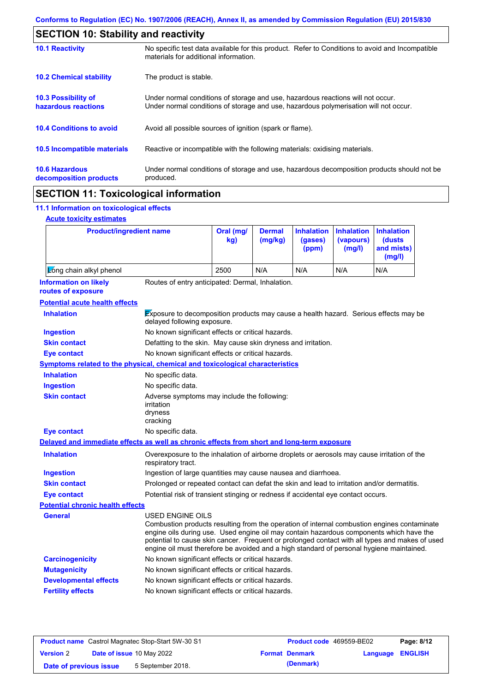|                                                 | <b>SECTION 10: Stability and reactivity</b>                                                                                                                             |  |  |  |
|-------------------------------------------------|-------------------------------------------------------------------------------------------------------------------------------------------------------------------------|--|--|--|
| <b>10.1 Reactivity</b>                          | No specific test data available for this product. Refer to Conditions to avoid and Incompatible<br>materials for additional information.                                |  |  |  |
| <b>10.2 Chemical stability</b>                  | The product is stable.                                                                                                                                                  |  |  |  |
| 10.3 Possibility of<br>hazardous reactions      | Under normal conditions of storage and use, hazardous reactions will not occur.<br>Under normal conditions of storage and use, hazardous polymerisation will not occur. |  |  |  |
| <b>10.4 Conditions to avoid</b>                 | Avoid all possible sources of ignition (spark or flame).                                                                                                                |  |  |  |
| 10.5 Incompatible materials                     | Reactive or incompatible with the following materials: oxidising materials.                                                                                             |  |  |  |
| <b>10.6 Hazardous</b><br>decomposition products | Under normal conditions of storage and use, hazardous decomposition products should not be<br>produced.                                                                 |  |  |  |
| <b>AMAMIALL JJ</b>                              |                                                                                                                                                                         |  |  |  |

## **SECTION 11: Toxicological information**

## **11.1 Information on toxicological effects**

|  | <b>Acute toxicity estimates</b> |
|--|---------------------------------|
|  |                                 |

 $\mathbf{r}$ 

| <b>Product/ingredient name</b>                                                             |                                                                                                                                                                                                                                                                                                                                                                                                          | Oral (mg/<br>kq                                                                             | <b>Dermal</b><br>(mg/kg) | <b>Inhalation</b><br>(gases)<br>(ppm) | <b>Inhalation</b><br>(vapours)<br>(mg/l) | <b>Inhalation</b><br><b>(dusts)</b><br>and mists)<br>(mg/l) |
|--------------------------------------------------------------------------------------------|----------------------------------------------------------------------------------------------------------------------------------------------------------------------------------------------------------------------------------------------------------------------------------------------------------------------------------------------------------------------------------------------------------|---------------------------------------------------------------------------------------------|--------------------------|---------------------------------------|------------------------------------------|-------------------------------------------------------------|
| Long chain alkyl phenol                                                                    |                                                                                                                                                                                                                                                                                                                                                                                                          | 2500                                                                                        | N/A                      | N/A                                   | N/A                                      | N/A                                                         |
| <b>Information on likely</b><br>routes of exposure                                         | Routes of entry anticipated: Dermal, Inhalation.                                                                                                                                                                                                                                                                                                                                                         |                                                                                             |                          |                                       |                                          |                                                             |
| <b>Potential acute health effects</b>                                                      |                                                                                                                                                                                                                                                                                                                                                                                                          |                                                                                             |                          |                                       |                                          |                                                             |
| <b>Inhalation</b>                                                                          | Exposure to decomposition products may cause a health hazard. Serious effects may be<br>delayed following exposure.                                                                                                                                                                                                                                                                                      |                                                                                             |                          |                                       |                                          |                                                             |
| <b>Ingestion</b>                                                                           | No known significant effects or critical hazards.                                                                                                                                                                                                                                                                                                                                                        |                                                                                             |                          |                                       |                                          |                                                             |
| <b>Skin contact</b>                                                                        | Defatting to the skin. May cause skin dryness and irritation.                                                                                                                                                                                                                                                                                                                                            |                                                                                             |                          |                                       |                                          |                                                             |
| <b>Eye contact</b>                                                                         | No known significant effects or critical hazards.                                                                                                                                                                                                                                                                                                                                                        |                                                                                             |                          |                                       |                                          |                                                             |
| Symptoms related to the physical, chemical and toxicological characteristics               |                                                                                                                                                                                                                                                                                                                                                                                                          |                                                                                             |                          |                                       |                                          |                                                             |
| <b>Inhalation</b>                                                                          | No specific data.                                                                                                                                                                                                                                                                                                                                                                                        |                                                                                             |                          |                                       |                                          |                                                             |
| <b>Ingestion</b>                                                                           | No specific data.                                                                                                                                                                                                                                                                                                                                                                                        |                                                                                             |                          |                                       |                                          |                                                             |
| <b>Skin contact</b>                                                                        | Adverse symptoms may include the following:<br>irritation<br>dryness<br>cracking                                                                                                                                                                                                                                                                                                                         |                                                                                             |                          |                                       |                                          |                                                             |
| <b>Eye contact</b>                                                                         | No specific data.                                                                                                                                                                                                                                                                                                                                                                                        |                                                                                             |                          |                                       |                                          |                                                             |
| Delayed and immediate effects as well as chronic effects from short and long-term exposure |                                                                                                                                                                                                                                                                                                                                                                                                          |                                                                                             |                          |                                       |                                          |                                                             |
| <b>Inhalation</b>                                                                          | respiratory tract.                                                                                                                                                                                                                                                                                                                                                                                       | Overexposure to the inhalation of airborne droplets or aerosols may cause irritation of the |                          |                                       |                                          |                                                             |
| <b>Ingestion</b>                                                                           | Ingestion of large quantities may cause nausea and diarrhoea.                                                                                                                                                                                                                                                                                                                                            |                                                                                             |                          |                                       |                                          |                                                             |
| <b>Skin contact</b>                                                                        | Prolonged or repeated contact can defat the skin and lead to irritation and/or dermatitis.                                                                                                                                                                                                                                                                                                               |                                                                                             |                          |                                       |                                          |                                                             |
| <b>Eye contact</b>                                                                         | Potential risk of transient stinging or redness if accidental eye contact occurs.                                                                                                                                                                                                                                                                                                                        |                                                                                             |                          |                                       |                                          |                                                             |
| <b>Potential chronic health effects</b>                                                    |                                                                                                                                                                                                                                                                                                                                                                                                          |                                                                                             |                          |                                       |                                          |                                                             |
| General                                                                                    | USED ENGINE OILS<br>Combustion products resulting from the operation of internal combustion engines contaminate<br>engine oils during use. Used engine oil may contain hazardous components which have the<br>potential to cause skin cancer. Frequent or prolonged contact with all types and makes of used<br>engine oil must therefore be avoided and a high standard of personal hygiene maintained. |                                                                                             |                          |                                       |                                          |                                                             |
| <b>Carcinogenicity</b>                                                                     | No known significant effects or critical hazards.                                                                                                                                                                                                                                                                                                                                                        |                                                                                             |                          |                                       |                                          |                                                             |
| <b>Mutagenicity</b>                                                                        | No known significant effects or critical hazards.                                                                                                                                                                                                                                                                                                                                                        |                                                                                             |                          |                                       |                                          |                                                             |
| <b>Developmental effects</b>                                                               | No known significant effects or critical hazards.                                                                                                                                                                                                                                                                                                                                                        |                                                                                             |                          |                                       |                                          |                                                             |
| <b>Fertility effects</b>                                                                   | No known significant effects or critical hazards.                                                                                                                                                                                                                                                                                                                                                        |                                                                                             |                          |                                       |                                          |                                                             |

|                        | <b>Product name</b> Castrol Magnatec Stop-Start 5W-30 S1 | <b>Product code</b> 469559-BE02 |                         | Page: 8/12 |
|------------------------|----------------------------------------------------------|---------------------------------|-------------------------|------------|
| <b>Version 2</b>       | Date of issue 10 May 2022                                | <b>Format Denmark</b>           | <b>Language ENGLISH</b> |            |
| Date of previous issue | 5 September 2018.                                        | (Denmark)                       |                         |            |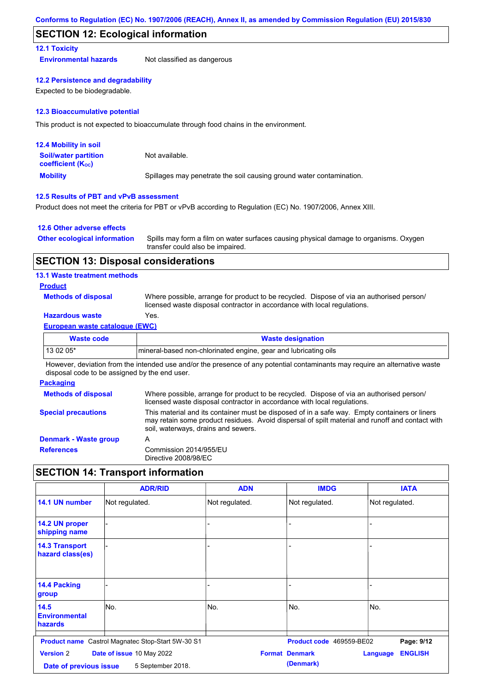## **SECTION 12: Ecological information**

## **12.1 Toxicity**

**Environmental hazards** Not classified as dangerous

#### **12.2 Persistence and degradability**

Expected to be biodegradable.

#### **12.3 Bioaccumulative potential**

This product is not expected to bioaccumulate through food chains in the environment.

| <b>12.4 Mobility in soil</b>                                  |                                                                      |
|---------------------------------------------------------------|----------------------------------------------------------------------|
| <b>Soil/water partition</b><br>coefficient (K <sub>oc</sub> ) | Not available.                                                       |
| <b>Mobility</b>                                               | Spillages may penetrate the soil causing ground water contamination. |

## **12.5 Results of PBT and vPvB assessment**

Product does not meet the criteria for PBT or vPvB according to Regulation (EC) No. 1907/2006, Annex XIII.

### **12.6 Other adverse effects**

| Other ecological information Spills may form a film on water surfaces causing physical damage to organisms. Oxygen |
|--------------------------------------------------------------------------------------------------------------------|
| transfer could also be impaired.                                                                                   |

## **SECTION 13: Disposal considerations**

### **13.1 Waste treatment methods**

### **Product**

**Methods of disposal**

Where possible, arrange for product to be recycled. Dispose of via an authorised person/ licensed waste disposal contractor in accordance with local regulations.

## **Hazardous waste Yes.**

## **European waste catalogue (EWC)**

| Waste code | <b>Waste designation</b>                                        |
|------------|-----------------------------------------------------------------|
| $130205*$  | mineral-based non-chlorinated engine, gear and lubricating oils |

However, deviation from the intended use and/or the presence of any potential contaminants may require an alternative waste disposal code to be assigned by the end user.

#### **Packaging Methods of disposal Special precautions** Where possible, arrange for product to be recycled. Dispose of via an authorised person/ licensed waste disposal contractor in accordance with local regulations. This material and its container must be disposed of in a safe way. Empty containers or liners may retain some product residues. Avoid dispersal of spilt material and runoff and contact with soil, waterways, drains and sewers. **Denmark - Waste group** A **References** Commission 2014/955/EU Directive 2008/98/EC

## **SECTION 14: Transport information**

|                                            | <b>ADR/RID</b>                                    | <b>ADN</b>     | <b>IMDG</b>                        | <b>IATA</b>                |
|--------------------------------------------|---------------------------------------------------|----------------|------------------------------------|----------------------------|
| 14.1 UN number                             | Not regulated.                                    | Not regulated. | Not regulated.                     | Not regulated.             |
| 14.2 UN proper<br>shipping name            |                                                   |                |                                    |                            |
| <b>14.3 Transport</b><br>hazard class(es)  |                                                   | -              |                                    |                            |
| 14.4 Packing<br>group                      |                                                   |                |                                    |                            |
| 14.5<br><b>Environmental</b><br>hazards    | No.                                               | No.            | No.                                | No.                        |
|                                            | Product name Castrol Magnatec Stop-Start 5W-30 S1 |                | Product code 469559-BE02           | Page: 9/12                 |
| <b>Version 2</b><br>Date of previous issue | Date of issue 10 May 2022<br>5 September 2018.    |                | <b>Format Denmark</b><br>(Denmark) | <b>ENGLISH</b><br>Language |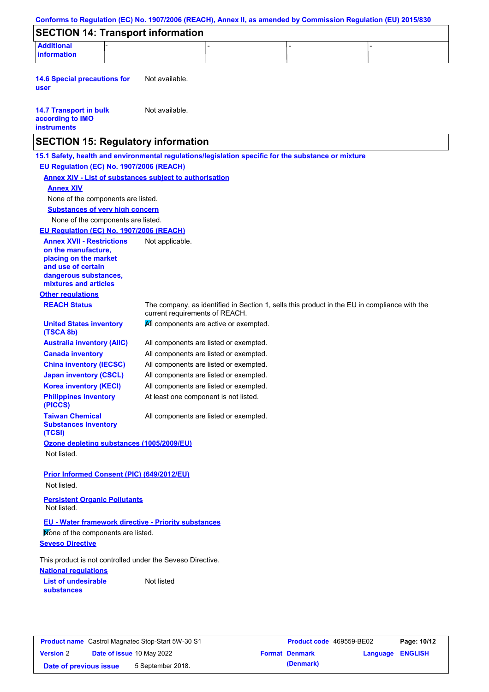| <b>SECTION 14: Transport information</b>                                                                             |                                                                                 |  |                                                                                              |  |
|----------------------------------------------------------------------------------------------------------------------|---------------------------------------------------------------------------------|--|----------------------------------------------------------------------------------------------|--|
| <b>Additional</b><br>information                                                                                     |                                                                                 |  |                                                                                              |  |
| <b>14.6 Special precautions for</b><br>user                                                                          | Not available.                                                                  |  |                                                                                              |  |
| <b>14.7 Transport in bulk</b><br>according to IMO<br><b>instruments</b>                                              | Not available.                                                                  |  |                                                                                              |  |
| <b>SECTION 15: Regulatory information</b>                                                                            |                                                                                 |  |                                                                                              |  |
| 15.1 Safety, health and environmental regulations/legislation specific for the substance or mixture                  |                                                                                 |  |                                                                                              |  |
| EU Regulation (EC) No. 1907/2006 (REACH)                                                                             |                                                                                 |  |                                                                                              |  |
| <b>Annex XIV - List of substances subject to authorisation</b>                                                       |                                                                                 |  |                                                                                              |  |
| <b>Annex XIV</b>                                                                                                     |                                                                                 |  |                                                                                              |  |
| None of the components are listed.                                                                                   |                                                                                 |  |                                                                                              |  |
| <b>Substances of very high concern</b>                                                                               |                                                                                 |  |                                                                                              |  |
| None of the components are listed.                                                                                   |                                                                                 |  |                                                                                              |  |
| EU Regulation (EC) No. 1907/2006 (REACH)<br><b>Annex XVII - Restrictions</b>                                         |                                                                                 |  |                                                                                              |  |
| on the manufacture.<br>placing on the market<br>and use of certain<br>dangerous substances,<br>mixtures and articles | Not applicable.                                                                 |  |                                                                                              |  |
| <b>Other regulations</b>                                                                                             |                                                                                 |  |                                                                                              |  |
| <b>REACH Status</b>                                                                                                  | current requirements of REACH.                                                  |  | The company, as identified in Section 1, sells this product in the EU in compliance with the |  |
| <b>United States inventory</b><br>(TSCA 8b)                                                                          | All components are active or exempted.                                          |  |                                                                                              |  |
| <b>Australia inventory (AIIC)</b>                                                                                    | All components are listed or exempted.                                          |  |                                                                                              |  |
| <b>Canada inventory</b>                                                                                              | All components are listed or exempted.                                          |  |                                                                                              |  |
| <b>China inventory (IECSC)</b>                                                                                       | All components are listed or exempted.                                          |  |                                                                                              |  |
| <b>Japan inventory (CSCL)</b>                                                                                        | All components are listed or exempted.                                          |  |                                                                                              |  |
| <b>Korea inventory (KECI)</b><br><b>Philippines inventory</b><br>(PICCS)                                             | All components are listed or exempted.<br>At least one component is not listed. |  |                                                                                              |  |
| <b>Taiwan Chemical</b><br><b>Substances Inventory</b>                                                                | All components are listed or exempted.                                          |  |                                                                                              |  |
| (TCSI)<br>Ozone depleting substances (1005/2009/EU)                                                                  |                                                                                 |  |                                                                                              |  |
| Not listed.                                                                                                          |                                                                                 |  |                                                                                              |  |
| <b>Prior Informed Consent (PIC) (649/2012/EU)</b>                                                                    |                                                                                 |  |                                                                                              |  |
| Not listed.                                                                                                          |                                                                                 |  |                                                                                              |  |
| <b>Persistent Organic Pollutants</b><br>Not listed.                                                                  |                                                                                 |  |                                                                                              |  |
| <b>EU - Water framework directive - Priority substances</b>                                                          |                                                                                 |  |                                                                                              |  |
| Mone of the components are listed.                                                                                   |                                                                                 |  |                                                                                              |  |
| <b>Seveso Directive</b>                                                                                              |                                                                                 |  |                                                                                              |  |
| This product is not controlled under the Seveso Directive.<br><b>National regulations</b>                            |                                                                                 |  |                                                                                              |  |
| <b>List of undesirable</b>                                                                                           | Not listed                                                                      |  |                                                                                              |  |
|                                                                                                                      |                                                                                 |  |                                                                                              |  |

|                        | <b>Product name</b> Castrol Magnatec Stop-Start 5W-30 S1 | <b>Product code</b> 469559-BE02 |                         | Page: 10/12 |
|------------------------|----------------------------------------------------------|---------------------------------|-------------------------|-------------|
| <b>Version 2</b>       | <b>Date of issue 10 May 2022</b>                         | <b>Format Denmark</b>           | <b>Language ENGLISH</b> |             |
| Date of previous issue | 5 September 2018.                                        | (Denmark)                       |                         |             |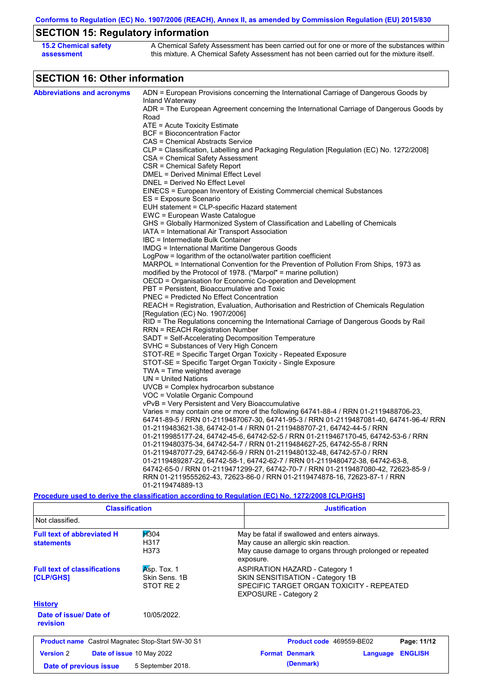**Conforms to Regulation (EC) No. 1907/2006 (REACH), Annex II, as amended by Commission Regulation (EU) 2015/830**

# **SECTION 15: Regulatory information**

| <b>15.2 Chemical safety</b> | A Chemical Safety Assessment has been carried out for one or more of the substances within  |
|-----------------------------|---------------------------------------------------------------------------------------------|
| assessment                  | this mixture. A Chemical Safety Assessment has not been carried out for the mixture itself. |

# **SECTION 16: Other information**

| ADN = European Provisions concerning the International Carriage of Dangerous Goods by<br>Inland Waterway<br>Road<br>ATE = Acute Toxicity Estimate<br><b>BCF</b> = Bioconcentration Factor<br>CAS = Chemical Abstracts Service<br>CLP = Classification, Labelling and Packaging Regulation [Regulation (EC) No. 1272/2008]<br>CSA = Chemical Safety Assessment<br>CSR = Chemical Safety Report<br>DMEL = Derived Minimal Effect Level<br>DNEL = Derived No Effect Level<br>EINECS = European Inventory of Existing Commercial chemical Substances<br>ES = Exposure Scenario<br>EUH statement = CLP-specific Hazard statement<br>EWC = European Waste Catalogue<br>GHS = Globally Harmonized System of Classification and Labelling of Chemicals<br>IATA = International Air Transport Association<br>IBC = Intermediate Bulk Container<br>IMDG = International Maritime Dangerous Goods<br>LogPow = logarithm of the octanol/water partition coefficient<br>MARPOL = International Convention for the Prevention of Pollution From Ships, 1973 as<br>modified by the Protocol of 1978. ("Marpol" = marine pollution)<br>OECD = Organisation for Economic Co-operation and Development<br>PBT = Persistent, Bioaccumulative and Toxic<br><b>PNEC</b> = Predicted No Effect Concentration<br>REACH = Registration, Evaluation, Authorisation and Restriction of Chemicals Regulation<br>[Regulation (EC) No. 1907/2006]<br>RID = The Regulations concerning the International Carriage of Dangerous Goods by Rail<br><b>RRN = REACH Registration Number</b><br>SADT = Self-Accelerating Decomposition Temperature<br>SVHC = Substances of Very High Concern<br>STOT-RE = Specific Target Organ Toxicity - Repeated Exposure<br>STOT-SE = Specific Target Organ Toxicity - Single Exposure<br>TWA = Time weighted average<br>$UN = United Nations$<br>$UVCB = Complex\;hydrocarbon\; substance$<br>VOC = Volatile Organic Compound<br>vPvB = Very Persistent and Very Bioaccumulative<br>Varies = may contain one or more of the following 64741-88-4 / RRN 01-2119488706-23,<br>64741-89-5 / RRN 01-2119487067-30, 64741-95-3 / RRN 01-2119487081-40, 64741-96-4/ RRN<br>01-2119483621-38, 64742-01-4 / RRN 01-2119488707-21, 64742-44-5 / RRN<br>01-2119985177-24, 64742-45-6, 64742-52-5 / RRN 01-2119467170-45, 64742-53-6 / RRN<br>01-2119480375-34, 64742-54-7 / RRN 01-2119484627-25, 64742-55-8 / RRN<br>01-2119487077-29, 64742-56-9 / RRN 01-2119480132-48, 64742-57-0 / RRN<br>01-2119489287-22, 64742-58-1, 64742-62-7 / RRN 01-2119480472-38, 64742-63-8,<br>64742-65-0 / RRN 01-2119471299-27, 64742-70-7 / RRN 01-2119487080-42, 72623-85-9 /<br>RRN 01-2119555262-43, 72623-86-0 / RRN 01-2119474878-16, 72623-87-1 / RRN<br>01-2119474889-13<br>Procedure used to derive the classification according to Regulation (EC) No. 1272/2008 [CLP/GHS] |                                   |                                                                                          |
|---------------------------------------------------------------------------------------------------------------------------------------------------------------------------------------------------------------------------------------------------------------------------------------------------------------------------------------------------------------------------------------------------------------------------------------------------------------------------------------------------------------------------------------------------------------------------------------------------------------------------------------------------------------------------------------------------------------------------------------------------------------------------------------------------------------------------------------------------------------------------------------------------------------------------------------------------------------------------------------------------------------------------------------------------------------------------------------------------------------------------------------------------------------------------------------------------------------------------------------------------------------------------------------------------------------------------------------------------------------------------------------------------------------------------------------------------------------------------------------------------------------------------------------------------------------------------------------------------------------------------------------------------------------------------------------------------------------------------------------------------------------------------------------------------------------------------------------------------------------------------------------------------------------------------------------------------------------------------------------------------------------------------------------------------------------------------------------------------------------------------------------------------------------------------------------------------------------------------------------------------------------------------------------------------------------------------------------------------------------------------------------------------------------------------------------------------------------------------------------------------------------------------------------------------------------------------------------------------------------------------------------------------------------------------------------------------------------------------------------------------------------------------------------------------------------------------------------------------------------|-----------------------------------|------------------------------------------------------------------------------------------|
|                                                                                                                                                                                                                                                                                                                                                                                                                                                                                                                                                                                                                                                                                                                                                                                                                                                                                                                                                                                                                                                                                                                                                                                                                                                                                                                                                                                                                                                                                                                                                                                                                                                                                                                                                                                                                                                                                                                                                                                                                                                                                                                                                                                                                                                                                                                                                                                                                                                                                                                                                                                                                                                                                                                                                                                                                                                               | <b>Abbreviations and acronyms</b> |                                                                                          |
|                                                                                                                                                                                                                                                                                                                                                                                                                                                                                                                                                                                                                                                                                                                                                                                                                                                                                                                                                                                                                                                                                                                                                                                                                                                                                                                                                                                                                                                                                                                                                                                                                                                                                                                                                                                                                                                                                                                                                                                                                                                                                                                                                                                                                                                                                                                                                                                                                                                                                                                                                                                                                                                                                                                                                                                                                                                               |                                   | ADR = The European Agreement concerning the International Carriage of Dangerous Goods by |
|                                                                                                                                                                                                                                                                                                                                                                                                                                                                                                                                                                                                                                                                                                                                                                                                                                                                                                                                                                                                                                                                                                                                                                                                                                                                                                                                                                                                                                                                                                                                                                                                                                                                                                                                                                                                                                                                                                                                                                                                                                                                                                                                                                                                                                                                                                                                                                                                                                                                                                                                                                                                                                                                                                                                                                                                                                                               |                                   |                                                                                          |
|                                                                                                                                                                                                                                                                                                                                                                                                                                                                                                                                                                                                                                                                                                                                                                                                                                                                                                                                                                                                                                                                                                                                                                                                                                                                                                                                                                                                                                                                                                                                                                                                                                                                                                                                                                                                                                                                                                                                                                                                                                                                                                                                                                                                                                                                                                                                                                                                                                                                                                                                                                                                                                                                                                                                                                                                                                                               |                                   |                                                                                          |
|                                                                                                                                                                                                                                                                                                                                                                                                                                                                                                                                                                                                                                                                                                                                                                                                                                                                                                                                                                                                                                                                                                                                                                                                                                                                                                                                                                                                                                                                                                                                                                                                                                                                                                                                                                                                                                                                                                                                                                                                                                                                                                                                                                                                                                                                                                                                                                                                                                                                                                                                                                                                                                                                                                                                                                                                                                                               |                                   |                                                                                          |
|                                                                                                                                                                                                                                                                                                                                                                                                                                                                                                                                                                                                                                                                                                                                                                                                                                                                                                                                                                                                                                                                                                                                                                                                                                                                                                                                                                                                                                                                                                                                                                                                                                                                                                                                                                                                                                                                                                                                                                                                                                                                                                                                                                                                                                                                                                                                                                                                                                                                                                                                                                                                                                                                                                                                                                                                                                                               |                                   |                                                                                          |
|                                                                                                                                                                                                                                                                                                                                                                                                                                                                                                                                                                                                                                                                                                                                                                                                                                                                                                                                                                                                                                                                                                                                                                                                                                                                                                                                                                                                                                                                                                                                                                                                                                                                                                                                                                                                                                                                                                                                                                                                                                                                                                                                                                                                                                                                                                                                                                                                                                                                                                                                                                                                                                                                                                                                                                                                                                                               |                                   |                                                                                          |
|                                                                                                                                                                                                                                                                                                                                                                                                                                                                                                                                                                                                                                                                                                                                                                                                                                                                                                                                                                                                                                                                                                                                                                                                                                                                                                                                                                                                                                                                                                                                                                                                                                                                                                                                                                                                                                                                                                                                                                                                                                                                                                                                                                                                                                                                                                                                                                                                                                                                                                                                                                                                                                                                                                                                                                                                                                                               |                                   |                                                                                          |
|                                                                                                                                                                                                                                                                                                                                                                                                                                                                                                                                                                                                                                                                                                                                                                                                                                                                                                                                                                                                                                                                                                                                                                                                                                                                                                                                                                                                                                                                                                                                                                                                                                                                                                                                                                                                                                                                                                                                                                                                                                                                                                                                                                                                                                                                                                                                                                                                                                                                                                                                                                                                                                                                                                                                                                                                                                                               |                                   |                                                                                          |
|                                                                                                                                                                                                                                                                                                                                                                                                                                                                                                                                                                                                                                                                                                                                                                                                                                                                                                                                                                                                                                                                                                                                                                                                                                                                                                                                                                                                                                                                                                                                                                                                                                                                                                                                                                                                                                                                                                                                                                                                                                                                                                                                                                                                                                                                                                                                                                                                                                                                                                                                                                                                                                                                                                                                                                                                                                                               |                                   |                                                                                          |
|                                                                                                                                                                                                                                                                                                                                                                                                                                                                                                                                                                                                                                                                                                                                                                                                                                                                                                                                                                                                                                                                                                                                                                                                                                                                                                                                                                                                                                                                                                                                                                                                                                                                                                                                                                                                                                                                                                                                                                                                                                                                                                                                                                                                                                                                                                                                                                                                                                                                                                                                                                                                                                                                                                                                                                                                                                                               |                                   |                                                                                          |
|                                                                                                                                                                                                                                                                                                                                                                                                                                                                                                                                                                                                                                                                                                                                                                                                                                                                                                                                                                                                                                                                                                                                                                                                                                                                                                                                                                                                                                                                                                                                                                                                                                                                                                                                                                                                                                                                                                                                                                                                                                                                                                                                                                                                                                                                                                                                                                                                                                                                                                                                                                                                                                                                                                                                                                                                                                                               |                                   |                                                                                          |
|                                                                                                                                                                                                                                                                                                                                                                                                                                                                                                                                                                                                                                                                                                                                                                                                                                                                                                                                                                                                                                                                                                                                                                                                                                                                                                                                                                                                                                                                                                                                                                                                                                                                                                                                                                                                                                                                                                                                                                                                                                                                                                                                                                                                                                                                                                                                                                                                                                                                                                                                                                                                                                                                                                                                                                                                                                                               |                                   |                                                                                          |
|                                                                                                                                                                                                                                                                                                                                                                                                                                                                                                                                                                                                                                                                                                                                                                                                                                                                                                                                                                                                                                                                                                                                                                                                                                                                                                                                                                                                                                                                                                                                                                                                                                                                                                                                                                                                                                                                                                                                                                                                                                                                                                                                                                                                                                                                                                                                                                                                                                                                                                                                                                                                                                                                                                                                                                                                                                                               |                                   |                                                                                          |
|                                                                                                                                                                                                                                                                                                                                                                                                                                                                                                                                                                                                                                                                                                                                                                                                                                                                                                                                                                                                                                                                                                                                                                                                                                                                                                                                                                                                                                                                                                                                                                                                                                                                                                                                                                                                                                                                                                                                                                                                                                                                                                                                                                                                                                                                                                                                                                                                                                                                                                                                                                                                                                                                                                                                                                                                                                                               |                                   |                                                                                          |
|                                                                                                                                                                                                                                                                                                                                                                                                                                                                                                                                                                                                                                                                                                                                                                                                                                                                                                                                                                                                                                                                                                                                                                                                                                                                                                                                                                                                                                                                                                                                                                                                                                                                                                                                                                                                                                                                                                                                                                                                                                                                                                                                                                                                                                                                                                                                                                                                                                                                                                                                                                                                                                                                                                                                                                                                                                                               |                                   |                                                                                          |
|                                                                                                                                                                                                                                                                                                                                                                                                                                                                                                                                                                                                                                                                                                                                                                                                                                                                                                                                                                                                                                                                                                                                                                                                                                                                                                                                                                                                                                                                                                                                                                                                                                                                                                                                                                                                                                                                                                                                                                                                                                                                                                                                                                                                                                                                                                                                                                                                                                                                                                                                                                                                                                                                                                                                                                                                                                                               |                                   |                                                                                          |
|                                                                                                                                                                                                                                                                                                                                                                                                                                                                                                                                                                                                                                                                                                                                                                                                                                                                                                                                                                                                                                                                                                                                                                                                                                                                                                                                                                                                                                                                                                                                                                                                                                                                                                                                                                                                                                                                                                                                                                                                                                                                                                                                                                                                                                                                                                                                                                                                                                                                                                                                                                                                                                                                                                                                                                                                                                                               |                                   |                                                                                          |
|                                                                                                                                                                                                                                                                                                                                                                                                                                                                                                                                                                                                                                                                                                                                                                                                                                                                                                                                                                                                                                                                                                                                                                                                                                                                                                                                                                                                                                                                                                                                                                                                                                                                                                                                                                                                                                                                                                                                                                                                                                                                                                                                                                                                                                                                                                                                                                                                                                                                                                                                                                                                                                                                                                                                                                                                                                                               |                                   |                                                                                          |
|                                                                                                                                                                                                                                                                                                                                                                                                                                                                                                                                                                                                                                                                                                                                                                                                                                                                                                                                                                                                                                                                                                                                                                                                                                                                                                                                                                                                                                                                                                                                                                                                                                                                                                                                                                                                                                                                                                                                                                                                                                                                                                                                                                                                                                                                                                                                                                                                                                                                                                                                                                                                                                                                                                                                                                                                                                                               |                                   |                                                                                          |
|                                                                                                                                                                                                                                                                                                                                                                                                                                                                                                                                                                                                                                                                                                                                                                                                                                                                                                                                                                                                                                                                                                                                                                                                                                                                                                                                                                                                                                                                                                                                                                                                                                                                                                                                                                                                                                                                                                                                                                                                                                                                                                                                                                                                                                                                                                                                                                                                                                                                                                                                                                                                                                                                                                                                                                                                                                                               |                                   |                                                                                          |
|                                                                                                                                                                                                                                                                                                                                                                                                                                                                                                                                                                                                                                                                                                                                                                                                                                                                                                                                                                                                                                                                                                                                                                                                                                                                                                                                                                                                                                                                                                                                                                                                                                                                                                                                                                                                                                                                                                                                                                                                                                                                                                                                                                                                                                                                                                                                                                                                                                                                                                                                                                                                                                                                                                                                                                                                                                                               |                                   |                                                                                          |
|                                                                                                                                                                                                                                                                                                                                                                                                                                                                                                                                                                                                                                                                                                                                                                                                                                                                                                                                                                                                                                                                                                                                                                                                                                                                                                                                                                                                                                                                                                                                                                                                                                                                                                                                                                                                                                                                                                                                                                                                                                                                                                                                                                                                                                                                                                                                                                                                                                                                                                                                                                                                                                                                                                                                                                                                                                                               |                                   |                                                                                          |
|                                                                                                                                                                                                                                                                                                                                                                                                                                                                                                                                                                                                                                                                                                                                                                                                                                                                                                                                                                                                                                                                                                                                                                                                                                                                                                                                                                                                                                                                                                                                                                                                                                                                                                                                                                                                                                                                                                                                                                                                                                                                                                                                                                                                                                                                                                                                                                                                                                                                                                                                                                                                                                                                                                                                                                                                                                                               |                                   |                                                                                          |
|                                                                                                                                                                                                                                                                                                                                                                                                                                                                                                                                                                                                                                                                                                                                                                                                                                                                                                                                                                                                                                                                                                                                                                                                                                                                                                                                                                                                                                                                                                                                                                                                                                                                                                                                                                                                                                                                                                                                                                                                                                                                                                                                                                                                                                                                                                                                                                                                                                                                                                                                                                                                                                                                                                                                                                                                                                                               |                                   |                                                                                          |
|                                                                                                                                                                                                                                                                                                                                                                                                                                                                                                                                                                                                                                                                                                                                                                                                                                                                                                                                                                                                                                                                                                                                                                                                                                                                                                                                                                                                                                                                                                                                                                                                                                                                                                                                                                                                                                                                                                                                                                                                                                                                                                                                                                                                                                                                                                                                                                                                                                                                                                                                                                                                                                                                                                                                                                                                                                                               |                                   |                                                                                          |
|                                                                                                                                                                                                                                                                                                                                                                                                                                                                                                                                                                                                                                                                                                                                                                                                                                                                                                                                                                                                                                                                                                                                                                                                                                                                                                                                                                                                                                                                                                                                                                                                                                                                                                                                                                                                                                                                                                                                                                                                                                                                                                                                                                                                                                                                                                                                                                                                                                                                                                                                                                                                                                                                                                                                                                                                                                                               |                                   |                                                                                          |
|                                                                                                                                                                                                                                                                                                                                                                                                                                                                                                                                                                                                                                                                                                                                                                                                                                                                                                                                                                                                                                                                                                                                                                                                                                                                                                                                                                                                                                                                                                                                                                                                                                                                                                                                                                                                                                                                                                                                                                                                                                                                                                                                                                                                                                                                                                                                                                                                                                                                                                                                                                                                                                                                                                                                                                                                                                                               |                                   |                                                                                          |
|                                                                                                                                                                                                                                                                                                                                                                                                                                                                                                                                                                                                                                                                                                                                                                                                                                                                                                                                                                                                                                                                                                                                                                                                                                                                                                                                                                                                                                                                                                                                                                                                                                                                                                                                                                                                                                                                                                                                                                                                                                                                                                                                                                                                                                                                                                                                                                                                                                                                                                                                                                                                                                                                                                                                                                                                                                                               |                                   |                                                                                          |
|                                                                                                                                                                                                                                                                                                                                                                                                                                                                                                                                                                                                                                                                                                                                                                                                                                                                                                                                                                                                                                                                                                                                                                                                                                                                                                                                                                                                                                                                                                                                                                                                                                                                                                                                                                                                                                                                                                                                                                                                                                                                                                                                                                                                                                                                                                                                                                                                                                                                                                                                                                                                                                                                                                                                                                                                                                                               |                                   |                                                                                          |
|                                                                                                                                                                                                                                                                                                                                                                                                                                                                                                                                                                                                                                                                                                                                                                                                                                                                                                                                                                                                                                                                                                                                                                                                                                                                                                                                                                                                                                                                                                                                                                                                                                                                                                                                                                                                                                                                                                                                                                                                                                                                                                                                                                                                                                                                                                                                                                                                                                                                                                                                                                                                                                                                                                                                                                                                                                                               |                                   |                                                                                          |
|                                                                                                                                                                                                                                                                                                                                                                                                                                                                                                                                                                                                                                                                                                                                                                                                                                                                                                                                                                                                                                                                                                                                                                                                                                                                                                                                                                                                                                                                                                                                                                                                                                                                                                                                                                                                                                                                                                                                                                                                                                                                                                                                                                                                                                                                                                                                                                                                                                                                                                                                                                                                                                                                                                                                                                                                                                                               |                                   |                                                                                          |
|                                                                                                                                                                                                                                                                                                                                                                                                                                                                                                                                                                                                                                                                                                                                                                                                                                                                                                                                                                                                                                                                                                                                                                                                                                                                                                                                                                                                                                                                                                                                                                                                                                                                                                                                                                                                                                                                                                                                                                                                                                                                                                                                                                                                                                                                                                                                                                                                                                                                                                                                                                                                                                                                                                                                                                                                                                                               |                                   |                                                                                          |
|                                                                                                                                                                                                                                                                                                                                                                                                                                                                                                                                                                                                                                                                                                                                                                                                                                                                                                                                                                                                                                                                                                                                                                                                                                                                                                                                                                                                                                                                                                                                                                                                                                                                                                                                                                                                                                                                                                                                                                                                                                                                                                                                                                                                                                                                                                                                                                                                                                                                                                                                                                                                                                                                                                                                                                                                                                                               |                                   |                                                                                          |
|                                                                                                                                                                                                                                                                                                                                                                                                                                                                                                                                                                                                                                                                                                                                                                                                                                                                                                                                                                                                                                                                                                                                                                                                                                                                                                                                                                                                                                                                                                                                                                                                                                                                                                                                                                                                                                                                                                                                                                                                                                                                                                                                                                                                                                                                                                                                                                                                                                                                                                                                                                                                                                                                                                                                                                                                                                                               |                                   |                                                                                          |
|                                                                                                                                                                                                                                                                                                                                                                                                                                                                                                                                                                                                                                                                                                                                                                                                                                                                                                                                                                                                                                                                                                                                                                                                                                                                                                                                                                                                                                                                                                                                                                                                                                                                                                                                                                                                                                                                                                                                                                                                                                                                                                                                                                                                                                                                                                                                                                                                                                                                                                                                                                                                                                                                                                                                                                                                                                                               |                                   |                                                                                          |
|                                                                                                                                                                                                                                                                                                                                                                                                                                                                                                                                                                                                                                                                                                                                                                                                                                                                                                                                                                                                                                                                                                                                                                                                                                                                                                                                                                                                                                                                                                                                                                                                                                                                                                                                                                                                                                                                                                                                                                                                                                                                                                                                                                                                                                                                                                                                                                                                                                                                                                                                                                                                                                                                                                                                                                                                                                                               |                                   |                                                                                          |
|                                                                                                                                                                                                                                                                                                                                                                                                                                                                                                                                                                                                                                                                                                                                                                                                                                                                                                                                                                                                                                                                                                                                                                                                                                                                                                                                                                                                                                                                                                                                                                                                                                                                                                                                                                                                                                                                                                                                                                                                                                                                                                                                                                                                                                                                                                                                                                                                                                                                                                                                                                                                                                                                                                                                                                                                                                                               |                                   |                                                                                          |
|                                                                                                                                                                                                                                                                                                                                                                                                                                                                                                                                                                                                                                                                                                                                                                                                                                                                                                                                                                                                                                                                                                                                                                                                                                                                                                                                                                                                                                                                                                                                                                                                                                                                                                                                                                                                                                                                                                                                                                                                                                                                                                                                                                                                                                                                                                                                                                                                                                                                                                                                                                                                                                                                                                                                                                                                                                                               |                                   |                                                                                          |
|                                                                                                                                                                                                                                                                                                                                                                                                                                                                                                                                                                                                                                                                                                                                                                                                                                                                                                                                                                                                                                                                                                                                                                                                                                                                                                                                                                                                                                                                                                                                                                                                                                                                                                                                                                                                                                                                                                                                                                                                                                                                                                                                                                                                                                                                                                                                                                                                                                                                                                                                                                                                                                                                                                                                                                                                                                                               |                                   |                                                                                          |
|                                                                                                                                                                                                                                                                                                                                                                                                                                                                                                                                                                                                                                                                                                                                                                                                                                                                                                                                                                                                                                                                                                                                                                                                                                                                                                                                                                                                                                                                                                                                                                                                                                                                                                                                                                                                                                                                                                                                                                                                                                                                                                                                                                                                                                                                                                                                                                                                                                                                                                                                                                                                                                                                                                                                                                                                                                                               |                                   |                                                                                          |
|                                                                                                                                                                                                                                                                                                                                                                                                                                                                                                                                                                                                                                                                                                                                                                                                                                                                                                                                                                                                                                                                                                                                                                                                                                                                                                                                                                                                                                                                                                                                                                                                                                                                                                                                                                                                                                                                                                                                                                                                                                                                                                                                                                                                                                                                                                                                                                                                                                                                                                                                                                                                                                                                                                                                                                                                                                                               |                                   |                                                                                          |
|                                                                                                                                                                                                                                                                                                                                                                                                                                                                                                                                                                                                                                                                                                                                                                                                                                                                                                                                                                                                                                                                                                                                                                                                                                                                                                                                                                                                                                                                                                                                                                                                                                                                                                                                                                                                                                                                                                                                                                                                                                                                                                                                                                                                                                                                                                                                                                                                                                                                                                                                                                                                                                                                                                                                                                                                                                                               |                                   |                                                                                          |
|                                                                                                                                                                                                                                                                                                                                                                                                                                                                                                                                                                                                                                                                                                                                                                                                                                                                                                                                                                                                                                                                                                                                                                                                                                                                                                                                                                                                                                                                                                                                                                                                                                                                                                                                                                                                                                                                                                                                                                                                                                                                                                                                                                                                                                                                                                                                                                                                                                                                                                                                                                                                                                                                                                                                                                                                                                                               |                                   |                                                                                          |
|                                                                                                                                                                                                                                                                                                                                                                                                                                                                                                                                                                                                                                                                                                                                                                                                                                                                                                                                                                                                                                                                                                                                                                                                                                                                                                                                                                                                                                                                                                                                                                                                                                                                                                                                                                                                                                                                                                                                                                                                                                                                                                                                                                                                                                                                                                                                                                                                                                                                                                                                                                                                                                                                                                                                                                                                                                                               |                                   |                                                                                          |
|                                                                                                                                                                                                                                                                                                                                                                                                                                                                                                                                                                                                                                                                                                                                                                                                                                                                                                                                                                                                                                                                                                                                                                                                                                                                                                                                                                                                                                                                                                                                                                                                                                                                                                                                                                                                                                                                                                                                                                                                                                                                                                                                                                                                                                                                                                                                                                                                                                                                                                                                                                                                                                                                                                                                                                                                                                                               |                                   |                                                                                          |
|                                                                                                                                                                                                                                                                                                                                                                                                                                                                                                                                                                                                                                                                                                                                                                                                                                                                                                                                                                                                                                                                                                                                                                                                                                                                                                                                                                                                                                                                                                                                                                                                                                                                                                                                                                                                                                                                                                                                                                                                                                                                                                                                                                                                                                                                                                                                                                                                                                                                                                                                                                                                                                                                                                                                                                                                                                                               |                                   |                                                                                          |
|                                                                                                                                                                                                                                                                                                                                                                                                                                                                                                                                                                                                                                                                                                                                                                                                                                                                                                                                                                                                                                                                                                                                                                                                                                                                                                                                                                                                                                                                                                                                                                                                                                                                                                                                                                                                                                                                                                                                                                                                                                                                                                                                                                                                                                                                                                                                                                                                                                                                                                                                                                                                                                                                                                                                                                                                                                                               |                                   |                                                                                          |

| <b>Classification</b>                                                                         |                                                | <b>Justification</b>                                                                                                                                           |
|-----------------------------------------------------------------------------------------------|------------------------------------------------|----------------------------------------------------------------------------------------------------------------------------------------------------------------|
| Not classified.                                                                               |                                                |                                                                                                                                                                |
| <b>Full text of abbreviated H</b><br><b>statements</b>                                        | <b>H</b> 304<br>H317<br>H373                   | May be fatal if swallowed and enters airways.<br>May cause an allergic skin reaction.<br>May cause damage to organs through prolonged or repeated<br>exposure. |
| Asp. Tox. 1<br><b>Full text of classifications</b><br>Skin Sens, 1B<br>[CLP/GHS]<br>STOT RE 2 |                                                | <b>ASPIRATION HAZARD - Category 1</b><br>SKIN SENSITISATION - Category 1B<br>SPECIFIC TARGET ORGAN TOXICITY - REPEATED<br><b>EXPOSURE - Category 2</b>         |
| <b>History</b><br>Date of issue/Date of<br><b>revision</b>                                    | 10/05/2022.                                    |                                                                                                                                                                |
| <b>Product name</b> Castrol Magnatec Stop-Start 5W-30 S1                                      |                                                | Page: 11/12<br>Product code 469559-BE02                                                                                                                        |
| <b>Version 2</b><br>Date of previous issue                                                    | Date of issue 10 May 2022<br>5 September 2018. | <b>Format Denmark</b><br><b>ENGLISH</b><br>Language<br>(Denmark)                                                                                               |